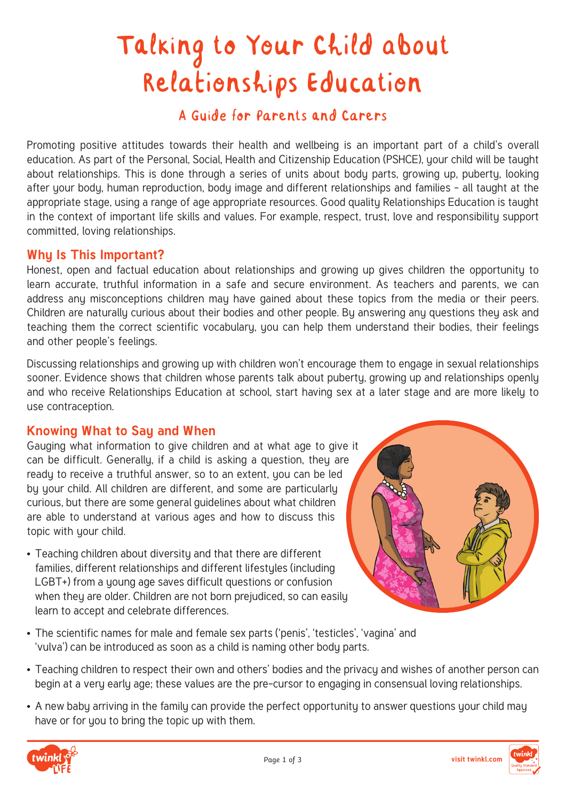# Talking to Your Child about Relationships Education

# A Guide for Parents and Carers

Promoting positive attitudes towards their health and wellbeing is an important part of a child's overall education. As part of the Personal, Social, Health and Citizenship Education (PSHCE), your child will be taught about relationships. This is done through a series of units about bodu parts, growing up, puberty, looking after your body, human reproduction, body image and different relationships and families - all taught at the appropriate stage, using a range of age appropriate resources. Good quality Relationships Education is taught in the context of important life skills and values. For example, respect, trust, love and responsibility support committed, loving relationships.

# **Why Is This Important?**

Honest, open and factual education about relationships and growing up gives children the opportunity to learn accurate, truthful information in a safe and secure environment. As teachers and parents, we can address any misconceptions children may have gained about these topics from the media or their peers. Children are naturally curious about their bodies and other people. By answering any questions they ask and teaching them the correct scientific vocabulary, you can help them understand their bodies, their feelings and other people's feelings.

Discussing relationships and growing up with children won't encourage them to engage in sexual relationships sooner. Evidence shows that children whose parents talk about puberty, growing up and relationships openly and who receive Relationships Education at school, start having sex at a later stage and are more likely to use contraception.

# **Knowing What to Say and When**

Gauging what information to give children and at what age to give it can be difficult. Generally, if a child is asking a question, they are ready to receive a truthful answer, so to an extent, you can be led by your child. All children are different, and some are particularly curious, but there are some general guidelines about what children are able to understand at various ages and how to discuss this topic with your child.

• Teaching children about diversity and that there are different families, different relationships and different lifestyles (including LGBT+) from a young age saves difficult questions or confusion when they are older. Children are not born prejudiced, so can easily learn to accept and celebrate differences.



- The scientific names for male and female sex parts ('penis', 'testicles', 'vagina' and 'vulva') can be introduced as soon as a child is naming other body parts.
- Teaching children to respect their own and others' bodies and the privacy and wishes of another person can begin at a very early age; these values are the pre-cursor to engaging in consensual loving relationships.
- A new baby arriving in the family can provide the perfect opportunity to answer questions your child may have or for you to bring the topic up with them.

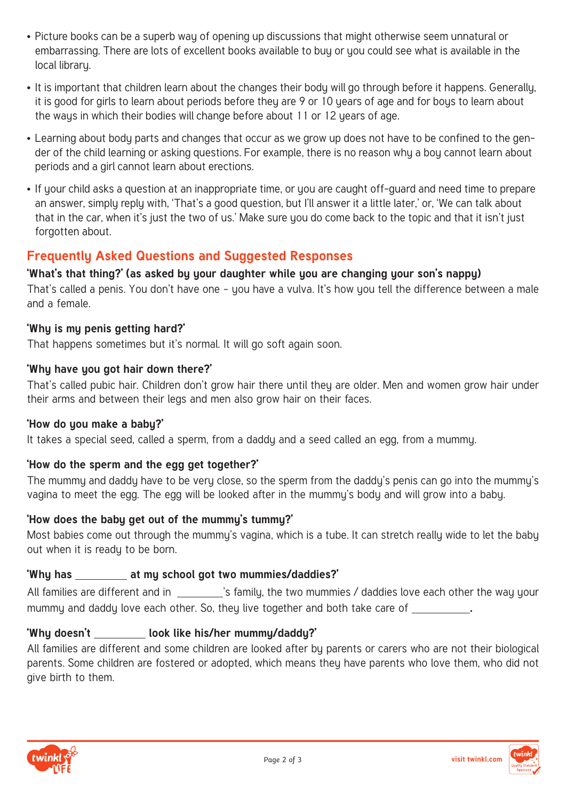- Picture books can be a superb way of opening up discussions that might otherwise seem unnatural or embarrassing. There are lots of excellent books available to buy or you could see what is available in the local library.
- It is important that children learn about the changes their body will go through before it happens. Generally, it is good for girls to learn about periods before they are 9 or 10 years of age and for boys to learn about the ways in which their bodies will change before about 11 or 12 years of age.
- Learning about body parts and changes that occur as we grow up does not have to be confined to the gender of the child learning or asking questions. For example, there is no reason why a boy cannot learn about periods and a girl cannot learn about erections.
- If your child asks a question at an inappropriate time, or you are caught off-guard and need time to prepare an answer, simply reply with, 'That's a good question, but I'll answer it a little later,' or, 'We can talk about that in the car, when it's just the two of us.' Make sure you do come back to the topic and that it isn't just forgotten about.

# **Frequently Asked Questions and Suggested Responses**

# **'What's that thing?' (as asked by your daughter while you are changing your son's nappy)**

That's called a penis. You don't have one – you have a vulva. It's how you tell the difference between a male and a female.

# **'Why is my penis getting hard?'**

That happens sometimes but it's normal. It will go soft again soon.

#### **'Why have you got hair down there?'**

That's called pubic hair. Children don't grow hair there until they are older. Men and women grow hair under their arms and between their legs and men also grow hair on their faces.

#### **'How do you make a baby?'**

It takes a special seed, called a sperm, from a daddy and a seed called an egg, from a mummy.

# **'How do the sperm and the egg get together?'**

The mummy and daddy have to be very close, so the sperm from the daddy's penis can go into the mummy's vagina to meet the egg. The egg will be looked after in the mummy's body and will grow into a baby.

# **'How does the baby get out of the mummy's tummy?'**

Most babies come out through the mummy's vagina, which is a tube. It can stretch really wide to let the baby out when it is ready to be born.

# **'Why has at my school got two mummies/daddies?'**

All families are different and in \_\_\_\_\_\_\_\_\_\_'s family, the two mummies / daddies love each other the way your mummy and daddy love each other. So, they live together and both take care of **.**

# **'Why doesn't look like his/her mummy/daddy?'**

All families are different and some children are looked after by parents or carers who are not their biological parents. Some children are fostered or adopted, which means they have parents who love them, who did not give birth to them.